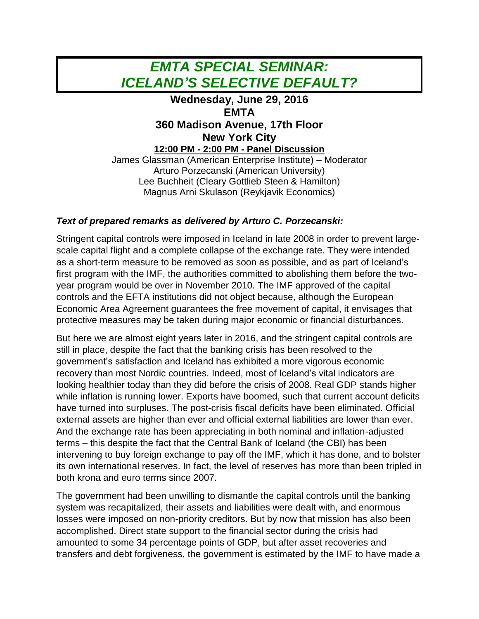## *EMTA SPECIAL SEMINAR: ICELAND'S SELECTIVE DEFAULT?*

## **Wednesday, June 29, 2016 EMTA 360 Madison Avenue, 17th Floor New York City 12:00 PM - 2:00 PM - Panel Discussion** James Glassman (American Enterprise Institute) – Moderator Arturo Porzecanski (American University) Lee Buchheit (Cleary Gottlieb Steen & Hamilton) Magnus Arni Skulason (Reykjavik Economics)

## *Text of prepared remarks as delivered by Arturo C. Porzecanski:*

Stringent capital controls were imposed in Iceland in late 2008 in order to prevent largescale capital flight and a complete collapse of the exchange rate. They were intended as a short-term measure to be removed as soon as possible, and as part of Iceland's first program with the IMF, the authorities committed to abolishing them before the twoyear program would be over in November 2010. The IMF approved of the capital controls and the EFTA institutions did not object because, although the European Economic Area Agreement guarantees the free movement of capital, it envisages that protective measures may be taken during major economic or financial disturbances.

But here we are almost eight years later in 2016, and the stringent capital controls are still in place, despite the fact that the banking crisis has been resolved to the government's satisfaction and Iceland has exhibited a more vigorous economic recovery than most Nordic countries. Indeed, most of Iceland's vital indicators are looking healthier today than they did before the crisis of 2008. Real GDP stands higher while inflation is running lower. Exports have boomed, such that current account deficits have turned into surpluses. The post-crisis fiscal deficits have been eliminated. Official external assets are higher than ever and official external liabilities are lower than ever. And the exchange rate has been appreciating in both nominal and inflation-adjusted terms – this despite the fact that the Central Bank of Iceland (the CBI) has been intervening to buy foreign exchange to pay off the IMF, which it has done, and to bolster its own international reserves. In fact, the level of reserves has more than been tripled in both krona and euro terms since 2007.

The government had been unwilling to dismantle the capital controls until the banking system was recapitalized, their assets and liabilities were dealt with, and enormous losses were imposed on non-priority creditors. But by now that mission has also been accomplished. Direct state support to the financial sector during the crisis had amounted to some 34 percentage points of GDP, but after asset recoveries and transfers and debt forgiveness, the government is estimated by the IMF to have made a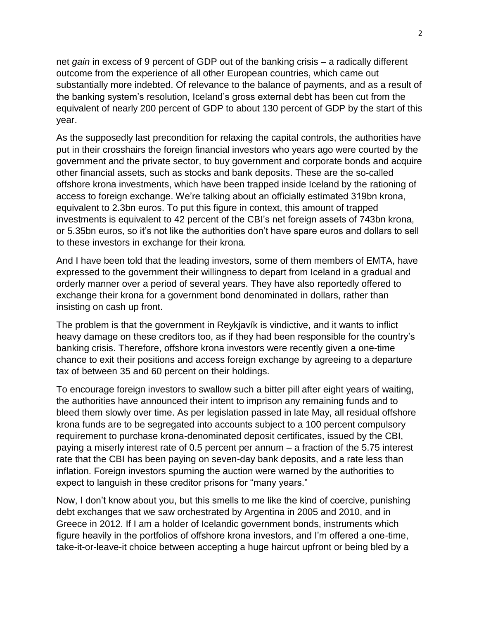net *gain* in excess of 9 percent of GDP out of the banking crisis – a radically different outcome from the experience of all other European countries, which came out substantially more indebted. Of relevance to the balance of payments, and as a result of the banking system's resolution, Iceland's gross external debt has been cut from the equivalent of nearly 200 percent of GDP to about 130 percent of GDP by the start of this year.

As the supposedly last precondition for relaxing the capital controls, the authorities have put in their crosshairs the foreign financial investors who years ago were courted by the government and the private sector, to buy government and corporate bonds and acquire other financial assets, such as stocks and bank deposits. These are the so-called offshore krona investments, which have been trapped inside Iceland by the rationing of access to foreign exchange. We're talking about an officially estimated 319bn krona, equivalent to 2.3bn euros. To put this figure in context, this amount of trapped investments is equivalent to 42 percent of the CBI's net foreign assets of 743bn krona, or 5.35bn euros, so it's not like the authorities don't have spare euros and dollars to sell to these investors in exchange for their krona.

And I have been told that the leading investors, some of them members of EMTA, have expressed to the government their willingness to depart from Iceland in a gradual and orderly manner over a period of several years. They have also reportedly offered to exchange their krona for a government bond denominated in dollars, rather than insisting on cash up front.

The problem is that the government in Reykjavík is vindictive, and it wants to inflict heavy damage on these creditors too, as if they had been responsible for the country's banking crisis. Therefore, offshore krona investors were recently given a one-time chance to exit their positions and access foreign exchange by agreeing to a departure tax of between 35 and 60 percent on their holdings.

To encourage foreign investors to swallow such a bitter pill after eight years of waiting, the authorities have announced their intent to imprison any remaining funds and to bleed them slowly over time. As per legislation passed in late May, all residual offshore krona funds are to be segregated into accounts subject to a 100 percent compulsory requirement to purchase krona-denominated deposit certificates, issued by the CBI, paying a miserly interest rate of 0.5 percent per annum – a fraction of the 5.75 interest rate that the CBI has been paying on seven-day bank deposits, and a rate less than inflation. Foreign investors spurning the auction were warned by the authorities to expect to languish in these creditor prisons for "many years."

Now, I don't know about you, but this smells to me like the kind of coercive, punishing debt exchanges that we saw orchestrated by Argentina in 2005 and 2010, and in Greece in 2012. If I am a holder of Icelandic government bonds, instruments which figure heavily in the portfolios of offshore krona investors, and I'm offered a one-time, take-it-or-leave-it choice between accepting a huge haircut upfront or being bled by a